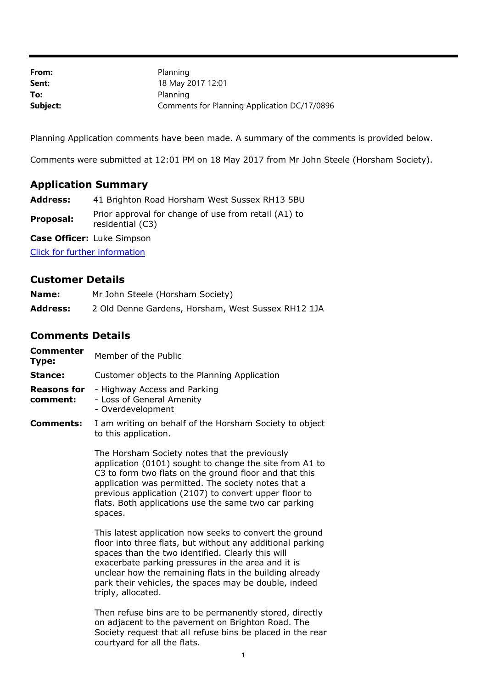| From:    | Planning                                     |
|----------|----------------------------------------------|
| Sent:    | 18 May 2017 12:01                            |
| To:      | Planning                                     |
| Subject: | Comments for Planning Application DC/17/0896 |

Planning Application comments have been made. A summary of the comments is provided below.

Comments were submitted at 12:01 PM on 18 May 2017 from Mr John Steele (Horsham Society).

## **Application Summary**

**Address:** 41 Brighton Road Horsham West Sussex RH13 5BU

**Proposal:** Prior approval for change of use from retail (A1) to residential (C3)

**Case Officer:** Luke Simpson

[Click for further information](https://public-access.horsham.gov.uk/public-access//centralDistribution.do?caseType=Application&keyVal=OOX0UEIJ07D00)

## **Customer Details**

| Name:           | Mr John Steele (Horsham Society)                   |
|-----------------|----------------------------------------------------|
| <b>Address:</b> | 2 Old Denne Gardens, Horsham, West Sussex RH12 1JA |

## **Comments Details**

**Commenter Type:** Member of the Public

**Stance:** Customer objects to the Planning Application

**Reasons for**  - Highway Access and Parking

- **comment:** - Loss of General Amenity
	- Overdevelopment
- **Comments:** I am writing on behalf of the Horsham Society to object to this application.

The Horsham Society notes that the previously application (0101) sought to change the site from A1 to C3 to form two flats on the ground floor and that this application was permitted. The society notes that a previous application (2107) to convert upper floor to flats. Both applications use the same two car parking spaces.

This latest application now seeks to convert the ground floor into three flats, but without any additional parking spaces than the two identified. Clearly this will exacerbate parking pressures in the area and it is unclear how the remaining flats in the building already park their vehicles, the spaces may be double, indeed triply, allocated.

Then refuse bins are to be permanently stored, directly on adjacent to the pavement on Brighton Road. The Society request that all refuse bins be placed in the rear courtyard for all the flats.